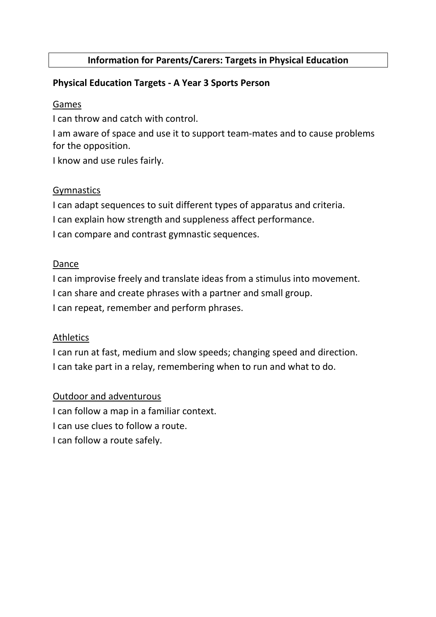### Information for Parents/Carers: Targets in Physical Education

### Physical Education Targets - A Year 3 Sports Person

#### Games

I can throw and catch with control.

I am aware of space and use it to support team-mates and to cause problems for the opposition.

I know and use rules fairly.

### Gymnastics

I can adapt sequences to suit different types of apparatus and criteria.

I can explain how strength and suppleness affect performance.

I can compare and contrast gymnastic sequences.

### Dance

I can improvise freely and translate ideas from a stimulus into movement. I can share and create phrases with a partner and small group.

I can repeat, remember and perform phrases.

### Athletics

I can run at fast, medium and slow speeds; changing speed and direction. I can take part in a relay, remembering when to run and what to do.

#### Outdoor and adventurous

I can follow a map in a familiar context. I can use clues to follow a route. I can follow a route safely.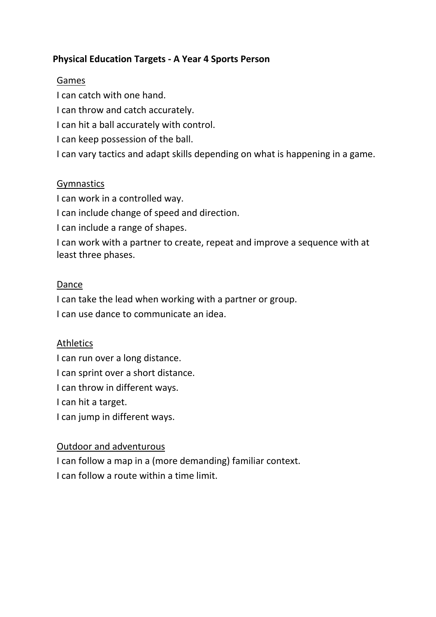# Physical Education Targets - A Year 4 Sports Person

### Games

I can catch with one hand.

I can throw and catch accurately.

I can hit a ball accurately with control.

I can keep possession of the ball.

I can vary tactics and adapt skills depending on what is happening in a game.

### **Gymnastics**

I can work in a controlled way.

I can include change of speed and direction.

I can include a range of shapes.

I can work with a partner to create, repeat and improve a sequence with at least three phases.

### Dance

I can take the lead when working with a partner or group.

I can use dance to communicate an idea.

### Athletics

I can run over a long distance.

I can sprint over a short distance.

I can throw in different ways.

I can hit a target.

I can jump in different ways.

### Outdoor and adventurous

I can follow a map in a (more demanding) familiar context. I can follow a route within a time limit.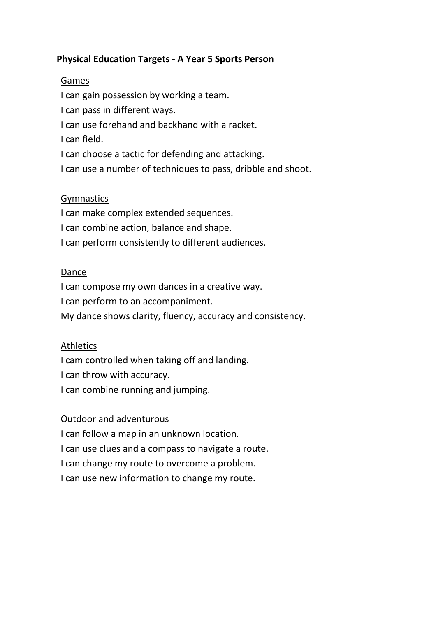# Physical Education Targets - A Year 5 Sports Person

### Games

I can gain possession by working a team.

I can pass in different ways.

I can use forehand and backhand with a racket.

I can field.

I can choose a tactic for defending and attacking.

I can use a number of techniques to pass, dribble and shoot.

# Gymnastics

I can make complex extended sequences. I can combine action, balance and shape. I can perform consistently to different audiences.

# Dance

I can compose my own dances in a creative way. I can perform to an accompaniment. My dance shows clarity, fluency, accuracy and consistency.

# **Athletics**

I cam controlled when taking off and landing. I can throw with accuracy.

I can combine running and jumping.

# Outdoor and adventurous

I can follow a map in an unknown location.

I can use clues and a compass to navigate a route.

I can change my route to overcome a problem.

I can use new information to change my route.